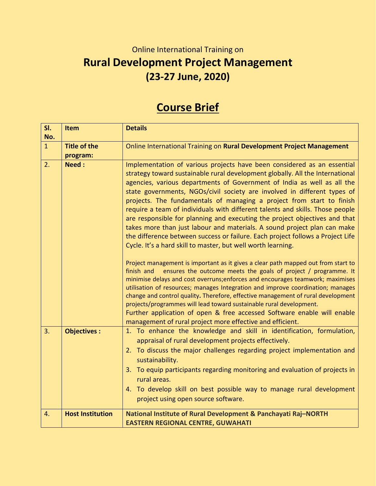## Online International Training on **Rural Development Project Management (23-27 June, 2020)**

## **Course Brief**

| SI.<br>No.     | <b>Item</b>                     | <b>Details</b>                                                                                                                                                                                                                                                                                                                                                                                                                                                                                                                                                                                                                                                                                                                                                                                                                                                                                                                                                                                                                                                                                                                  |
|----------------|---------------------------------|---------------------------------------------------------------------------------------------------------------------------------------------------------------------------------------------------------------------------------------------------------------------------------------------------------------------------------------------------------------------------------------------------------------------------------------------------------------------------------------------------------------------------------------------------------------------------------------------------------------------------------------------------------------------------------------------------------------------------------------------------------------------------------------------------------------------------------------------------------------------------------------------------------------------------------------------------------------------------------------------------------------------------------------------------------------------------------------------------------------------------------|
| $\overline{1}$ | <b>Title of the</b><br>program: | Online International Training on Rural Development Project Management                                                                                                                                                                                                                                                                                                                                                                                                                                                                                                                                                                                                                                                                                                                                                                                                                                                                                                                                                                                                                                                           |
| 2.             | Need:                           | Implementation of various projects have been considered as an essential<br>strategy toward sustainable rural development globally. All the International<br>agencies, various departments of Government of India as well as all the<br>state governments, NGOs/civil society are involved in different types of<br>projects. The fundamentals of managing a project from start to finish<br>require a team of individuals with different talents and skills. Those people<br>are responsible for planning and executing the project objectives and that<br>takes more than just labour and materials. A sound project plan can make<br>the difference between success or failure. Each project follows a Project Life<br>Cycle. It's a hard skill to master, but well worth learning.<br>Project management is important as it gives a clear path mapped out from start to<br>ensures the outcome meets the goals of project / programme. It<br>finish and<br>minimise delays and cost overruns; enforces and encourages teamwork; maximises<br>utilisation of resources; manages Integration and improve coordination; manages |
|                |                                 | change and control quality. Therefore, effective management of rural development<br>projects/programmes will lead toward sustainable rural development.<br>Further application of open & free accessed Software enable will enable<br>management of rural project more effective and efficient.                                                                                                                                                                                                                                                                                                                                                                                                                                                                                                                                                                                                                                                                                                                                                                                                                                 |
| 3.             | <b>Objectives:</b>              | 1. To enhance the knowledge and skill in identification, formulation,<br>appraisal of rural development projects effectively.                                                                                                                                                                                                                                                                                                                                                                                                                                                                                                                                                                                                                                                                                                                                                                                                                                                                                                                                                                                                   |
|                |                                 | 2. To discuss the major challenges regarding project implementation and<br>sustainability.                                                                                                                                                                                                                                                                                                                                                                                                                                                                                                                                                                                                                                                                                                                                                                                                                                                                                                                                                                                                                                      |
|                |                                 | 3. To equip participants regarding monitoring and evaluation of projects in<br>rural areas.                                                                                                                                                                                                                                                                                                                                                                                                                                                                                                                                                                                                                                                                                                                                                                                                                                                                                                                                                                                                                                     |
|                |                                 | 4. To develop skill on best possible way to manage rural development<br>project using open source software.                                                                                                                                                                                                                                                                                                                                                                                                                                                                                                                                                                                                                                                                                                                                                                                                                                                                                                                                                                                                                     |
| 4.             | <b>Host Institution</b>         | National Institute of Rural Development & Panchayati Raj-NORTH<br><b>EASTERN REGIONAL CENTRE, GUWAHATI</b>                                                                                                                                                                                                                                                                                                                                                                                                                                                                                                                                                                                                                                                                                                                                                                                                                                                                                                                                                                                                                      |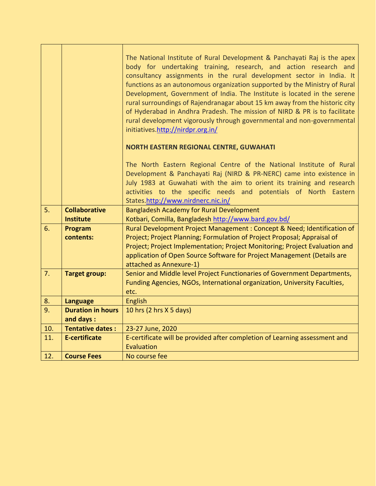|     |                                        | The National Institute of Rural Development & Panchayati Raj is the apex<br>body for undertaking training, research, and action research and<br>consultancy assignments in the rural development sector in India. It<br>functions as an autonomous organization supported by the Ministry of Rural<br>Development, Government of India. The Institute is located in the serene<br>rural surroundings of Rajendranagar about 15 km away from the historic city<br>of Hyderabad in Andhra Pradesh. The mission of NIRD & PR is to facilitate<br>rural development vigorously through governmental and non-governmental<br>initiatives.http://nirdpr.org.in/ |  |  |  |  |  |  |
|-----|----------------------------------------|-----------------------------------------------------------------------------------------------------------------------------------------------------------------------------------------------------------------------------------------------------------------------------------------------------------------------------------------------------------------------------------------------------------------------------------------------------------------------------------------------------------------------------------------------------------------------------------------------------------------------------------------------------------|--|--|--|--|--|--|
|     |                                        |                                                                                                                                                                                                                                                                                                                                                                                                                                                                                                                                                                                                                                                           |  |  |  |  |  |  |
|     |                                        | <b>NORTH EASTERN REGIONAL CENTRE, GUWAHATI</b>                                                                                                                                                                                                                                                                                                                                                                                                                                                                                                                                                                                                            |  |  |  |  |  |  |
|     |                                        | The North Eastern Regional Centre of the National Institute of Rural<br>Development & Panchayati Raj (NIRD & PR-NERC) came into existence in                                                                                                                                                                                                                                                                                                                                                                                                                                                                                                              |  |  |  |  |  |  |
|     |                                        | July 1983 at Guwahati with the aim to orient its training and research<br>activities to the specific needs and potentials of North Eastern<br>States.http://www.nirdnerc.nic.in/                                                                                                                                                                                                                                                                                                                                                                                                                                                                          |  |  |  |  |  |  |
| 5.  | <b>Collaborative</b>                   | <b>Bangladesh Academy for Rural Development</b>                                                                                                                                                                                                                                                                                                                                                                                                                                                                                                                                                                                                           |  |  |  |  |  |  |
|     | <b>Institute</b>                       | Kotbari, Comilla, Bangladesh http://www.bard.gov.bd/                                                                                                                                                                                                                                                                                                                                                                                                                                                                                                                                                                                                      |  |  |  |  |  |  |
| 6.  | Program                                | Rural Development Project Management: Concept & Need; Identification of                                                                                                                                                                                                                                                                                                                                                                                                                                                                                                                                                                                   |  |  |  |  |  |  |
|     | contents:                              | Project; Project Planning; Formulation of Project Proposal; Appraisal of                                                                                                                                                                                                                                                                                                                                                                                                                                                                                                                                                                                  |  |  |  |  |  |  |
|     |                                        | Project; Project Implementation; Project Monitoring; Project Evaluation and                                                                                                                                                                                                                                                                                                                                                                                                                                                                                                                                                                               |  |  |  |  |  |  |
|     |                                        | application of Open Source Software for Project Management (Details are<br>attached as Annexure-1)                                                                                                                                                                                                                                                                                                                                                                                                                                                                                                                                                        |  |  |  |  |  |  |
| 7.  | <b>Target group:</b>                   | Senior and Middle level Project Functionaries of Government Departments,                                                                                                                                                                                                                                                                                                                                                                                                                                                                                                                                                                                  |  |  |  |  |  |  |
|     |                                        | Funding Agencies, NGOs, International organization, University Faculties,<br>etc.                                                                                                                                                                                                                                                                                                                                                                                                                                                                                                                                                                         |  |  |  |  |  |  |
| 8.  | <b>Language</b>                        | <b>English</b>                                                                                                                                                                                                                                                                                                                                                                                                                                                                                                                                                                                                                                            |  |  |  |  |  |  |
| 9.  | <b>Duration in hours</b><br>and days : | 10 hrs (2 hrs X 5 days)                                                                                                                                                                                                                                                                                                                                                                                                                                                                                                                                                                                                                                   |  |  |  |  |  |  |
| 10. | <b>Tentative dates:</b>                | 23-27 June, 2020                                                                                                                                                                                                                                                                                                                                                                                                                                                                                                                                                                                                                                          |  |  |  |  |  |  |
| 11. | <b>E-certificate</b>                   | E-certificate will be provided after completion of Learning assessment and                                                                                                                                                                                                                                                                                                                                                                                                                                                                                                                                                                                |  |  |  |  |  |  |
|     |                                        | Evaluation                                                                                                                                                                                                                                                                                                                                                                                                                                                                                                                                                                                                                                                |  |  |  |  |  |  |
| 12. | <b>Course Fees</b>                     | No course fee                                                                                                                                                                                                                                                                                                                                                                                                                                                                                                                                                                                                                                             |  |  |  |  |  |  |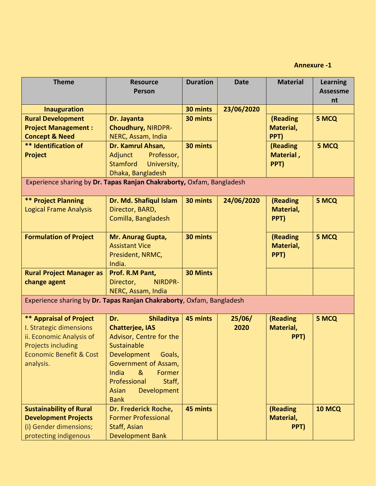## **Annexure -1**

| <b>Theme</b>                                                                                                                                                          | <b>Resource</b><br><b>Person</b>                                                                                                                                                                                                       | <b>Duration</b> | <b>Date</b>    | <b>Material</b>               | <b>Learning</b><br><b>Assessme</b><br>nt |  |  |
|-----------------------------------------------------------------------------------------------------------------------------------------------------------------------|----------------------------------------------------------------------------------------------------------------------------------------------------------------------------------------------------------------------------------------|-----------------|----------------|-------------------------------|------------------------------------------|--|--|
| <b>Inauguration</b>                                                                                                                                                   |                                                                                                                                                                                                                                        | 30 mints        | 23/06/2020     |                               |                                          |  |  |
| <b>Rural Development</b><br><b>Project Management:</b><br><b>Concept &amp; Need</b>                                                                                   | Dr. Jayanta<br><b>Choudhury, NIRDPR-</b><br>NERC, Assam, India                                                                                                                                                                         | 30 mints        |                | (Reading<br>Material,<br>PPT) | 5 MCQ                                    |  |  |
| ** Identification of<br>Project                                                                                                                                       | Dr. Kamrul Ahsan,<br>Adjunct<br>Professor,<br>Stamford<br>University,<br>Dhaka, Bangladesh                                                                                                                                             | 30 mints        |                | (Reading<br>Material,<br>PPT) | 5 MCQ                                    |  |  |
| Experience sharing by Dr. Tapas Ranjan Chakraborty, Oxfam, Bangladesh                                                                                                 |                                                                                                                                                                                                                                        |                 |                |                               |                                          |  |  |
| <b>** Project Planning</b><br><b>Logical Frame Analysis</b>                                                                                                           | Dr. Md. Shafiqul Islam<br>Director, BARD,<br>Comilla, Bangladesh                                                                                                                                                                       | 30 mints        | 24/06/2020     | (Reading<br>Material,<br>PPT) | 5 MCQ                                    |  |  |
| <b>Formulation of Project</b>                                                                                                                                         | Mr. Anurag Gupta,<br><b>Assistant Vice</b><br>President, NRMC,<br>India.                                                                                                                                                               | 30 mints        |                | (Reading<br>Material,<br>PPT) | 5 MCQ                                    |  |  |
| <b>Rural Project Manager as</b><br>change agent                                                                                                                       | Prof. R.M Pant,<br>Director,<br>NIRDPR-<br>NERC, Assam, India                                                                                                                                                                          | <b>30 Mints</b> |                |                               |                                          |  |  |
| Experience sharing by Dr. Tapas Ranjan Chakraborty, Oxfam, Bangladesh                                                                                                 |                                                                                                                                                                                                                                        |                 |                |                               |                                          |  |  |
| <b>** Appraisal of Project</b><br>I. Strategic dimensions<br>ii. Economic Analysis of<br><b>Projects including</b><br><b>Economic Benefit &amp; Cost</b><br>analysis. | <b>Shiladitya</b><br>Dr.<br><b>Chatterjee, IAS</b><br>Advisor, Centre for the<br>Sustainable<br>Development<br>Goals,<br>Government of Assam,<br>India<br>&<br>Former<br>Professional<br>Staff,<br>Development<br>Asian<br><b>Bank</b> | 45 mints        | 25/06/<br>2020 | (Reading<br>Material,<br>PPT) | 5 MCQ                                    |  |  |
| <b>Sustainability of Rural</b><br><b>Development Projects</b><br>(i) Gender dimensions;<br>protecting indigenous                                                      | Dr. Frederick Roche,<br><b>Former Professional</b><br>Staff, Asian<br><b>Development Bank</b>                                                                                                                                          | 45 mints        |                | (Reading<br>Material,<br>PPT) | <b>10 MCQ</b>                            |  |  |